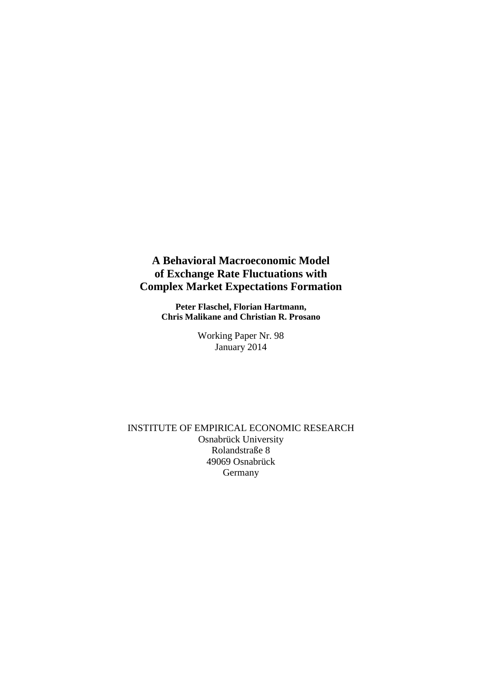## **A Behavioral Macroeconomic Model of Exchange Rate Fluctuations with Complex Market Expectations Formation**

**Peter Flaschel, Florian Hartmann, Chris Malikane and Christian R. Prosano**

> Working Paper Nr. 98 January 2014

INSTITUTE OF EMPIRICAL ECONOMIC RESEARCH Osnabrück University Rolandstraße 8 49069 Osnabrück Germany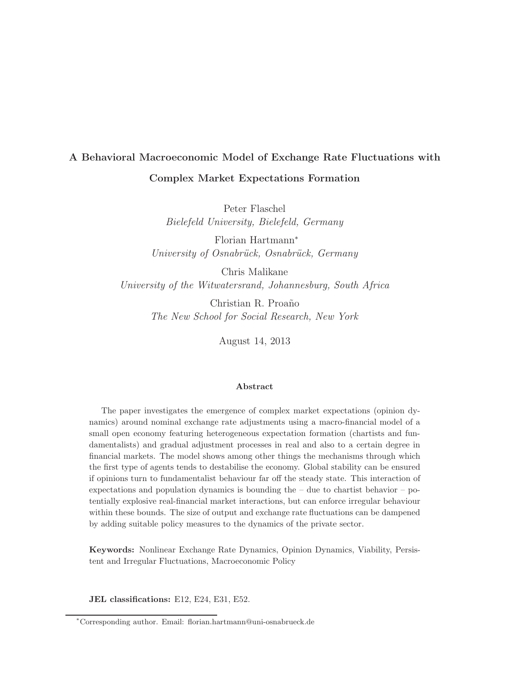# A Behavioral Macroeconomic Model of Exchange Rate Fluctuations with Complex Market Expectations Formation

Peter Flaschel Bielefeld University, Bielefeld, Germany

Florian Hartmann<sup>∗</sup> University of Osnabrück, Osnabrück, Germany

Chris Malikane University of the Witwatersrand, Johannesburg, South Africa

> Christian R. Proa˜no The New School for Social Research, New York

> > August 14, 2013

#### Abstract

The paper investigates the emergence of complex market expectations (opinion dynamics) around nominal exchange rate adjustments using a macro-financial model of a small open economy featuring heterogeneous expectation formation (chartists and fundamentalists) and gradual adjustment processes in real and also to a certain degree in financial markets. The model shows among other things the mechanisms through which the first type of agents tends to destabilise the economy. Global stability can be ensured if opinions turn to fundamentalist behaviour far off the steady state. This interaction of expectations and population dynamics is bounding the  $-$  due to chartist behavior  $-$  potentially explosive real-financial market interactions, but can enforce irregular behaviour within these bounds. The size of output and exchange rate fluctuations can be dampened by adding suitable policy measures to the dynamics of the private sector.

Keywords: Nonlinear Exchange Rate Dynamics, Opinion Dynamics, Viability, Persistent and Irregular Fluctuations, Macroeconomic Policy

JEL classifications: E12, E24, E31, E52.

<sup>∗</sup>Corresponding author. Email: florian.hartmann@uni-osnabrueck.de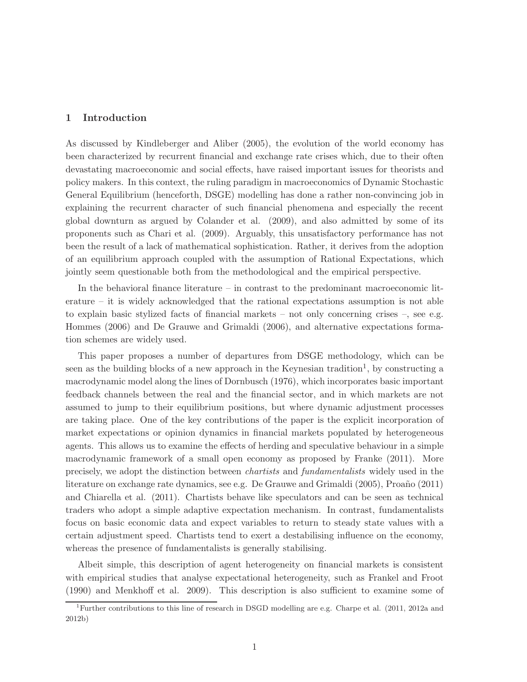## 1 Introduction

As discussed by Kindleberger and Aliber (2005), the evolution of the world economy has been characterized by recurrent financial and exchange rate crises which, due to their often devastating macroeconomic and social effects, have raised important issues for theorists and policy makers. In this context, the ruling paradigm in macroeconomics of Dynamic Stochastic General Equilibrium (henceforth, DSGE) modelling has done a rather non-convincing job in explaining the recurrent character of such financial phenomena and especially the recent global downturn as argued by Colander et al. (2009), and also admitted by some of its proponents such as Chari et al. (2009). Arguably, this unsatisfactory performance has not been the result of a lack of mathematical sophistication. Rather, it derives from the adoption of an equilibrium approach coupled with the assumption of Rational Expectations, which jointly seem questionable both from the methodological and the empirical perspective.

In the behavioral finance literature – in contrast to the predominant macroeconomic literature – it is widely acknowledged that the rational expectations assumption is not able to explain basic stylized facts of financial markets – not only concerning crises –, see e.g. Hommes (2006) and De Grauwe and Grimaldi (2006), and alternative expectations formation schemes are widely used.

This paper proposes a number of departures from DSGE methodology, which can be seen as the building blocks of a new approach in the Keynesian tradition<sup>1</sup>, by constructing a macrodynamic model along the lines of Dornbusch (1976), which incorporates basic important feedback channels between the real and the financial sector, and in which markets are not assumed to jump to their equilibrium positions, but where dynamic adjustment processes are taking place. One of the key contributions of the paper is the explicit incorporation of market expectations or opinion dynamics in financial markets populated by heterogeneous agents. This allows us to examine the effects of herding and speculative behaviour in a simple macrodynamic framework of a small open economy as proposed by Franke (2011). More precisely, we adopt the distinction between chartists and fundamentalists widely used in the literature on exchange rate dynamics, see e.g. De Grauwe and Grimaldi (2005), Proaño (2011) and Chiarella et al. (2011). Chartists behave like speculators and can be seen as technical traders who adopt a simple adaptive expectation mechanism. In contrast, fundamentalists focus on basic economic data and expect variables to return to steady state values with a certain adjustment speed. Chartists tend to exert a destabilising influence on the economy, whereas the presence of fundamentalists is generally stabilising.

Albeit simple, this description of agent heterogeneity on financial markets is consistent with empirical studies that analyse expectational heterogeneity, such as Frankel and Froot (1990) and Menkhoff et al. 2009). This description is also sufficient to examine some of

<sup>1</sup>Further contributions to this line of research in DSGD modelling are e.g. Charpe et al. (2011, 2012a and 2012b)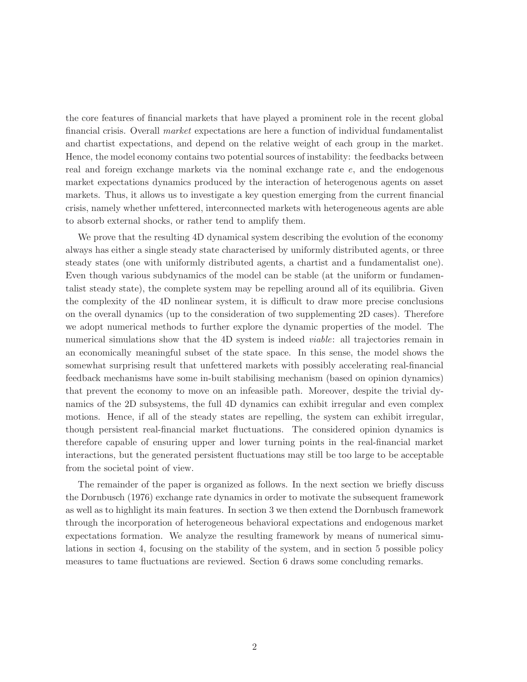the core features of financial markets that have played a prominent role in the recent global financial crisis. Overall market expectations are here a function of individual fundamentalist and chartist expectations, and depend on the relative weight of each group in the market. Hence, the model economy contains two potential sources of instability: the feedbacks between real and foreign exchange markets via the nominal exchange rate e, and the endogenous market expectations dynamics produced by the interaction of heterogenous agents on asset markets. Thus, it allows us to investigate a key question emerging from the current financial crisis, namely whether unfettered, interconnected markets with heterogeneous agents are able to absorb external shocks, or rather tend to amplify them.

We prove that the resulting 4D dynamical system describing the evolution of the economy always has either a single steady state characterised by uniformly distributed agents, or three steady states (one with uniformly distributed agents, a chartist and a fundamentalist one). Even though various subdynamics of the model can be stable (at the uniform or fundamentalist steady state), the complete system may be repelling around all of its equilibria. Given the complexity of the 4D nonlinear system, it is difficult to draw more precise conclusions on the overall dynamics (up to the consideration of two supplementing 2D cases). Therefore we adopt numerical methods to further explore the dynamic properties of the model. The numerical simulations show that the 4D system is indeed *viable*: all trajectories remain in an economically meaningful subset of the state space. In this sense, the model shows the somewhat surprising result that unfettered markets with possibly accelerating real-financial feedback mechanisms have some in-built stabilising mechanism (based on opinion dynamics) that prevent the economy to move on an infeasible path. Moreover, despite the trivial dynamics of the 2D subsystems, the full 4D dynamics can exhibit irregular and even complex motions. Hence, if all of the steady states are repelling, the system can exhibit irregular, though persistent real-financial market fluctuations. The considered opinion dynamics is therefore capable of ensuring upper and lower turning points in the real-financial market interactions, but the generated persistent fluctuations may still be too large to be acceptable from the societal point of view.

The remainder of the paper is organized as follows. In the next section we briefly discuss the Dornbusch (1976) exchange rate dynamics in order to motivate the subsequent framework as well as to highlight its main features. In section 3 we then extend the Dornbusch framework through the incorporation of heterogeneous behavioral expectations and endogenous market expectations formation. We analyze the resulting framework by means of numerical simulations in section 4, focusing on the stability of the system, and in section 5 possible policy measures to tame fluctuations are reviewed. Section 6 draws some concluding remarks.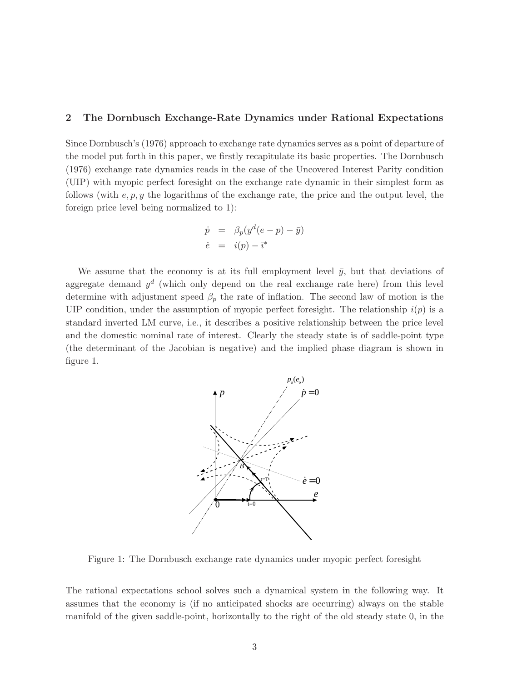### 2 The Dornbusch Exchange-Rate Dynamics under Rational Expectations

Since Dornbusch's (1976) approach to exchange rate dynamics serves as a point of departure of the model put forth in this paper, we firstly recapitulate its basic properties. The Dornbusch (1976) exchange rate dynamics reads in the case of the Uncovered Interest Parity condition (UIP) with myopic perfect foresight on the exchange rate dynamic in their simplest form as follows (with  $e, p, y$  the logarithms of the exchange rate, the price and the output level, the foreign price level being normalized to 1):

$$
\dot{p} = \beta_p(y^d(e - p) - \bar{y})
$$
  
\n
$$
\dot{e} = i(p) - \bar{\imath}^*
$$

We assume that the economy is at its full employment level  $\bar{y}$ , but that deviations of aggregate demand  $y^d$  (which only depend on the real exchange rate here) from this level determine with adjustment speed  $\beta_p$  the rate of inflation. The second law of motion is the UIP condition, under the assumption of myopic perfect foresight. The relationship  $i(p)$  is a standard inverted LM curve, i.e., it describes a positive relationship between the price level and the domestic nominal rate of interest. Clearly the steady state is of saddle-point type (the determinant of the Jacobian is negative) and the implied phase diagram is shown in figure 1.



Figure 1: The Dornbusch exchange rate dynamics under myopic perfect foresight

The rational expectations school solves such a dynamical system in the following way. It assumes that the economy is (if no anticipated shocks are occurring) always on the stable manifold of the given saddle-point, horizontally to the right of the old steady state 0, in the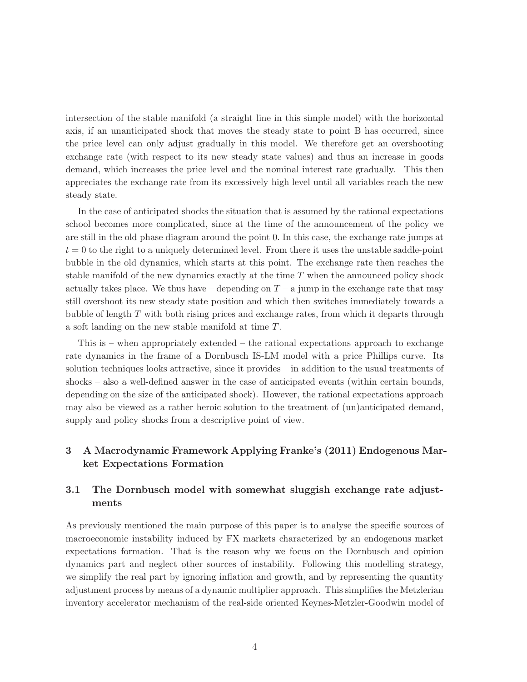intersection of the stable manifold (a straight line in this simple model) with the horizontal axis, if an unanticipated shock that moves the steady state to point B has occurred, since the price level can only adjust gradually in this model. We therefore get an overshooting exchange rate (with respect to its new steady state values) and thus an increase in goods demand, which increases the price level and the nominal interest rate gradually. This then appreciates the exchange rate from its excessively high level until all variables reach the new steady state.

In the case of anticipated shocks the situation that is assumed by the rational expectations school becomes more complicated, since at the time of the announcement of the policy we are still in the old phase diagram around the point 0. In this case, the exchange rate jumps at  $t = 0$  to the right to a uniquely determined level. From there it uses the unstable saddle-point bubble in the old dynamics, which starts at this point. The exchange rate then reaches the stable manifold of the new dynamics exactly at the time T when the announced policy shock actually takes place. We thus have – depending on  $T - a$  jump in the exchange rate that may still overshoot its new steady state position and which then switches immediately towards a bubble of length T with both rising prices and exchange rates, from which it departs through a soft landing on the new stable manifold at time T.

This is – when appropriately extended – the rational expectations approach to exchange rate dynamics in the frame of a Dornbusch IS-LM model with a price Phillips curve. Its solution techniques looks attractive, since it provides – in addition to the usual treatments of shocks – also a well-defined answer in the case of anticipated events (within certain bounds, depending on the size of the anticipated shock). However, the rational expectations approach may also be viewed as a rather heroic solution to the treatment of (un)anticipated demand, supply and policy shocks from a descriptive point of view.

## 3 A Macrodynamic Framework Applying Franke's (2011) Endogenous Market Expectations Formation

## 3.1 The Dornbusch model with somewhat sluggish exchange rate adjustments

As previously mentioned the main purpose of this paper is to analyse the specific sources of macroeconomic instability induced by FX markets characterized by an endogenous market expectations formation. That is the reason why we focus on the Dornbusch and opinion dynamics part and neglect other sources of instability. Following this modelling strategy, we simplify the real part by ignoring inflation and growth, and by representing the quantity adjustment process by means of a dynamic multiplier approach. This simplifies the Metzlerian inventory accelerator mechanism of the real-side oriented Keynes-Metzler-Goodwin model of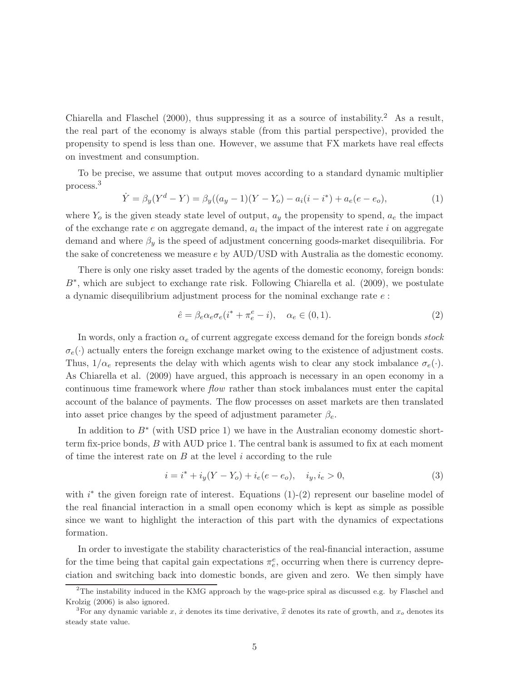Chiarella and Flaschel (2000), thus suppressing it as a source of instability.<sup>2</sup> As a result, the real part of the economy is always stable (from this partial perspective), provided the propensity to spend is less than one. However, we assume that FX markets have real effects on investment and consumption.

To be precise, we assume that output moves according to a standard dynamic multiplier process.<sup>3</sup>

$$
\dot{Y} = \beta_y (Y^d - Y) = \beta_y ((a_y - 1)(Y - Y_o) - a_i (i - i^*) + a_e (e - e_o),
$$
\n(1)

where  $Y_o$  is the given steady state level of output,  $a_y$  the propensity to spend,  $a_e$  the impact of the exchange rate  $e$  on aggregate demand,  $a_i$  the impact of the interest rate i on aggregate demand and where  $\beta_y$  is the speed of adjustment concerning goods-market disequilibria. For the sake of concreteness we measure e by AUD/USD with Australia as the domestic economy.

There is only one risky asset traded by the agents of the domestic economy, foreign bonds: B<sup>∗</sup>, which are subject to exchange rate risk. Following Chiarella et al. (2009), we postulate a dynamic disequilibrium adjustment process for the nominal exchange rate e :

$$
\hat{e} = \beta_e \alpha_e \sigma_e (i^* + \pi_e^e - i), \quad \alpha_e \in (0, 1).
$$
 (2)

In words, only a fraction  $\alpha_e$  of current aggregate excess demand for the foreign bonds stock  $\sigma_e(\cdot)$  actually enters the foreign exchange market owing to the existence of adjustment costs. Thus,  $1/\alpha_e$  represents the delay with which agents wish to clear any stock imbalance  $\sigma_e(\cdot)$ . As Chiarella et al. (2009) have argued, this approach is necessary in an open economy in a continuous time framework where flow rather than stock imbalances must enter the capital account of the balance of payments. The flow processes on asset markets are then translated into asset price changes by the speed of adjustment parameter  $\beta_e$ .

In addition to  $B^*$  (with USD price 1) we have in the Australian economy domestic shortterm fix-price bonds,  $B$  with AUD price 1. The central bank is assumed to fix at each moment of time the interest rate on  $B$  at the level  $i$  according to the rule

$$
i = i^* + i_y(Y - Y_o) + i_e(e - e_o), \quad i_y, i_e > 0,
$$
\n(3)

with  $i^*$  the given foreign rate of interest. Equations  $(1)-(2)$  represent our baseline model of the real financial interaction in a small open economy which is kept as simple as possible since we want to highlight the interaction of this part with the dynamics of expectations formation.

In order to investigate the stability characteristics of the real-financial interaction, assume for the time being that capital gain expectations  $\pi_e^e$ , occurring when there is currency depreciation and switching back into domestic bonds, are given and zero. We then simply have

<sup>2</sup>The instability induced in the KMG approach by the wage-price spiral as discussed e.g. by Flaschel and Krolzig (2006) is also ignored.

<sup>&</sup>lt;sup>3</sup>For any dynamic variable x, x denotes its time derivative,  $\hat{x}$  denotes its rate of growth, and  $x_o$  denotes its steady state value.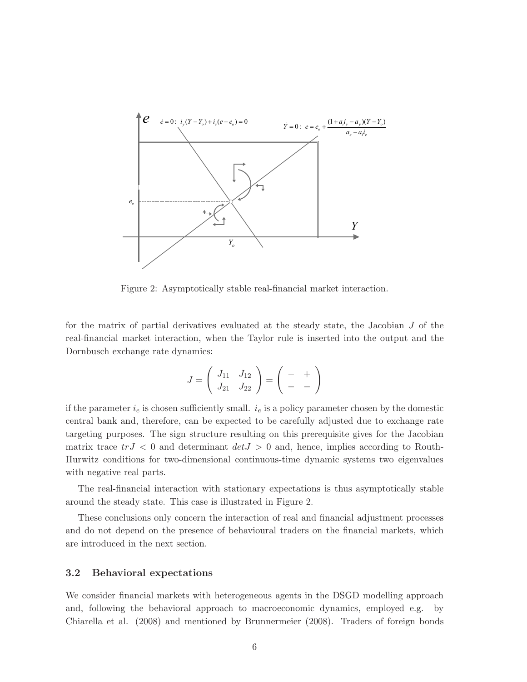

Figure 2: Asymptotically stable real-financial market interaction.

for the matrix of partial derivatives evaluated at the steady state, the Jacobian J of the real-financial market interaction, when the Taylor rule is inserted into the output and the Dornbusch exchange rate dynamics:

$$
J = \left(\begin{array}{cc} J_{11} & J_{12} \\ J_{21} & J_{22} \end{array}\right) = \left(\begin{array}{cc} - & + \\ - & - \end{array}\right)
$$

if the parameter  $i_e$  is chosen sufficiently small.  $i_e$  is a policy parameter chosen by the domestic central bank and, therefore, can be expected to be carefully adjusted due to exchange rate targeting purposes. The sign structure resulting on this prerequisite gives for the Jacobian matrix trace  $trJ < 0$  and determinant  $det J > 0$  and, hence, implies according to Routh-Hurwitz conditions for two-dimensional continuous-time dynamic systems two eigenvalues with negative real parts.

The real-financial interaction with stationary expectations is thus asymptotically stable around the steady state. This case is illustrated in Figure 2.

These conclusions only concern the interaction of real and financial adjustment processes and do not depend on the presence of behavioural traders on the financial markets, which are introduced in the next section.

## 3.2 Behavioral expectations

We consider financial markets with heterogeneous agents in the DSGD modelling approach and, following the behavioral approach to macroeconomic dynamics, employed e.g. by Chiarella et al. (2008) and mentioned by Brunnermeier (2008). Traders of foreign bonds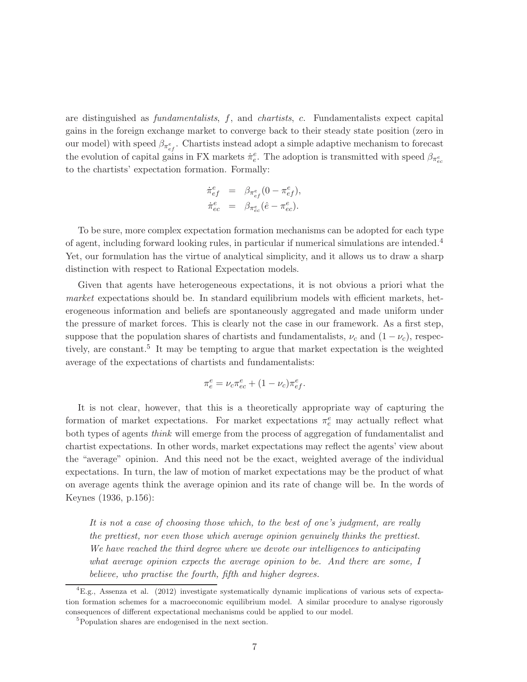are distinguished as fundamentalists, f, and chartists, c. Fundamentalists expect capital gains in the foreign exchange market to converge back to their steady state position (zero in our model) with speed  $\beta_{\pi_{ef}^e}$ . Chartists instead adopt a simple adaptive mechanism to forecast the evolution of capital gains in FX markets  $\dot{\pi}_e^e$ . The adoption is transmitted with speed  $\beta_{\pi_{ec}^e}$ to the chartists' expectation formation. Formally:

$$
\begin{array}{rcl}\n\dot{\pi}_{ef}^e &=& \beta_{\pi_{ef}^e} (0 - \pi_{ef}^e), \\
\dot{\pi}_{ec}^e &=& \beta_{\pi_{ec}^e} (\hat{e} - \pi_{ec}^e).\n\end{array}
$$

To be sure, more complex expectation formation mechanisms can be adopted for each type of agent, including forward looking rules, in particular if numerical simulations are intended.<sup>4</sup> Yet, our formulation has the virtue of analytical simplicity, and it allows us to draw a sharp distinction with respect to Rational Expectation models.

Given that agents have heterogeneous expectations, it is not obvious a priori what the market expectations should be. In standard equilibrium models with efficient markets, heterogeneous information and beliefs are spontaneously aggregated and made uniform under the pressure of market forces. This is clearly not the case in our framework. As a first step, suppose that the population shares of chartists and fundamentalists,  $\nu_c$  and  $(1 - \nu_c)$ , respectively, are constant.<sup>5</sup> It may be tempting to argue that market expectation is the weighted average of the expectations of chartists and fundamentalists:

$$
\pi_e^e=\nu_c\pi_{ec}^e+(1-\nu_c)\pi_{ef}^e.
$$

It is not clear, however, that this is a theoretically appropriate way of capturing the formation of market expectations. For market expectations  $\pi_e^e$  may actually reflect what both types of agents think will emerge from the process of aggregation of fundamentalist and chartist expectations. In other words, market expectations may reflect the agents' view about the "average" opinion. And this need not be the exact, weighted average of the individual expectations. In turn, the law of motion of market expectations may be the product of what on average agents think the average opinion and its rate of change will be. In the words of Keynes (1936, p.156):

It is not a case of choosing those which, to the best of one's judgment, are really the prettiest, nor even those which average opinion genuinely thinks the prettiest. We have reached the third degree where we devote our intelligences to anticipating what average opinion expects the average opinion to be. And there are some, I believe, who practise the fourth, fifth and higher degrees.

<sup>4</sup>E.g., Assenza et al. (2012) investigate systematically dynamic implications of various sets of expectation formation schemes for a macroeconomic equilibrium model. A similar procedure to analyse rigorously consequences of different expectational mechanisms could be applied to our model.

<sup>5</sup>Population shares are endogenised in the next section.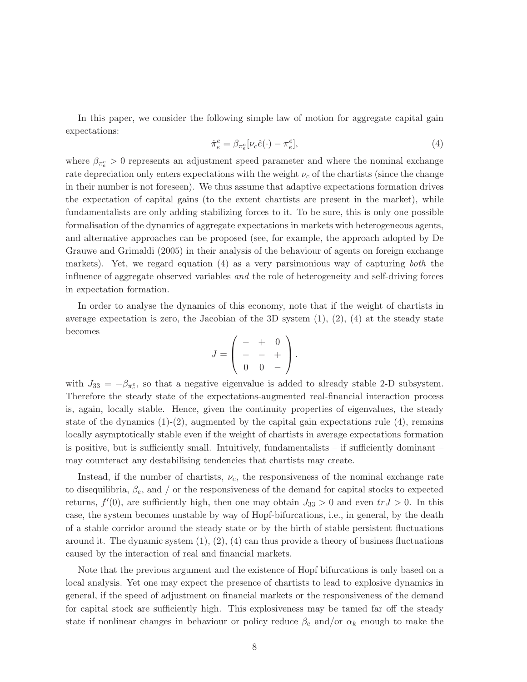In this paper, we consider the following simple law of motion for aggregate capital gain expectations:

$$
\dot{\pi}_e^e = \beta_{\pi_e^e} [\nu_c \hat{e}(\cdot) - \pi_e^e],\tag{4}
$$

where  $\beta_{\pi_e^e} > 0$  represents an adjustment speed parameter and where the nominal exchange rate depreciation only enters expectations with the weight  $\nu_c$  of the chartists (since the change in their number is not foreseen). We thus assume that adaptive expectations formation drives the expectation of capital gains (to the extent chartists are present in the market), while fundamentalists are only adding stabilizing forces to it. To be sure, this is only one possible formalisation of the dynamics of aggregate expectations in markets with heterogeneous agents, and alternative approaches can be proposed (see, for example, the approach adopted by De Grauwe and Grimaldi (2005) in their analysis of the behaviour of agents on foreign exchange markets). Yet, we regard equation (4) as a very parsimonious way of capturing both the influence of aggregate observed variables and the role of heterogeneity and self-driving forces in expectation formation.

In order to analyse the dynamics of this economy, note that if the weight of chartists in average expectation is zero, the Jacobian of the 3D system  $(1), (2), (4)$  at the steady state becomes

$$
J = \left( \begin{array}{rr} - & + & 0 \\ - & - & + \\ 0 & 0 & - \end{array} \right).
$$

with  $J_{33} = -\beta_{\pi_e^e}$ , so that a negative eigenvalue is added to already stable 2-D subsystem. Therefore the steady state of the expectations-augmented real-financial interaction process is, again, locally stable. Hence, given the continuity properties of eigenvalues, the steady state of the dynamics  $(1)-(2)$ , augmented by the capital gain expectations rule  $(4)$ , remains locally asymptotically stable even if the weight of chartists in average expectations formation is positive, but is sufficiently small. Intuitively, fundamentalists – if sufficiently dominant – may counteract any destabilising tendencies that chartists may create.

Instead, if the number of chartists,  $\nu_c$ , the responsiveness of the nominal exchange rate to disequilibria,  $\beta_e$ , and / or the responsiveness of the demand for capital stocks to expected returns,  $f'(0)$ , are sufficiently high, then one may obtain  $J_{33} > 0$  and even  $tr J > 0$ . In this case, the system becomes unstable by way of Hopf-bifurcations, i.e., in general, by the death of a stable corridor around the steady state or by the birth of stable persistent fluctuations around it. The dynamic system  $(1), (2), (4)$  can thus provide a theory of business fluctuations caused by the interaction of real and financial markets.

Note that the previous argument and the existence of Hopf bifurcations is only based on a local analysis. Yet one may expect the presence of chartists to lead to explosive dynamics in general, if the speed of adjustment on financial markets or the responsiveness of the demand for capital stock are sufficiently high. This explosiveness may be tamed far off the steady state if nonlinear changes in behaviour or policy reduce  $\beta_e$  and/or  $\alpha_k$  enough to make the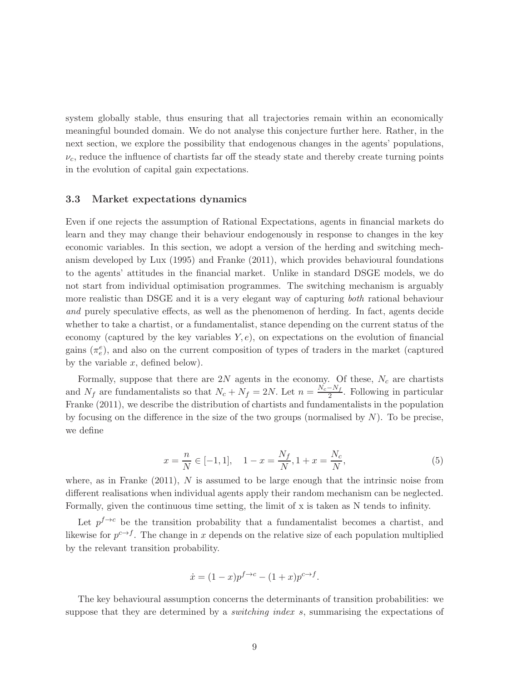system globally stable, thus ensuring that all trajectories remain within an economically meaningful bounded domain. We do not analyse this conjecture further here. Rather, in the next section, we explore the possibility that endogenous changes in the agents' populations,  $\nu_c$ , reduce the influence of chartists far off the steady state and thereby create turning points in the evolution of capital gain expectations.

### 3.3 Market expectations dynamics

Even if one rejects the assumption of Rational Expectations, agents in financial markets do learn and they may change their behaviour endogenously in response to changes in the key economic variables. In this section, we adopt a version of the herding and switching mechanism developed by Lux (1995) and Franke (2011), which provides behavioural foundations to the agents' attitudes in the financial market. Unlike in standard DSGE models, we do not start from individual optimisation programmes. The switching mechanism is arguably more realistic than DSGE and it is a very elegant way of capturing both rational behaviour and purely speculative effects, as well as the phenomenon of herding. In fact, agents decide whether to take a chartist, or a fundamentalist, stance depending on the current status of the economy (captured by the key variables  $Y, e$ ), on expectations on the evolution of financial gains  $(\pi_e^e)$ , and also on the current composition of types of traders in the market (captured by the variable  $x$ , defined below).

Formally, suppose that there are  $2N$  agents in the economy. Of these,  $N_c$  are chartists and  $N_f$  are fundamentalists so that  $N_c + N_f = 2N$ . Let  $n = \frac{N_c - N_f}{2}$ . Following in particular Franke (2011), we describe the distribution of chartists and fundamentalists in the population by focusing on the difference in the size of the two groups (normalised by  $N$ ). To be precise, we define

$$
x = \frac{n}{N} \in [-1, 1], \quad 1 - x = \frac{N_f}{N}, 1 + x = \frac{N_c}{N}, \tag{5}
$$

where, as in Franke  $(2011)$ , N is assumed to be large enough that the intrinsic noise from different realisations when individual agents apply their random mechanism can be neglected. Formally, given the continuous time setting, the limit of x is taken as N tends to infinity.

Let  $p^{f\rightarrow c}$  be the transition probability that a fundamentalist becomes a chartist, and likewise for  $p^{c \to f}$ . The change in x depends on the relative size of each population multiplied by the relevant transition probability.

$$
\dot{x} = (1 - x)p^{f \to c} - (1 + x)p^{c \to f}.
$$

The key behavioural assumption concerns the determinants of transition probabilities: we suppose that they are determined by a *switching index s*, summarising the expectations of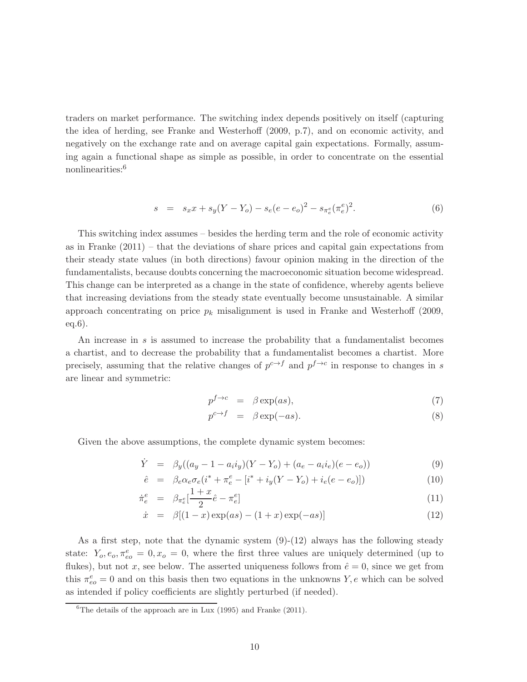traders on market performance. The switching index depends positively on itself (capturing the idea of herding, see Franke and Westerhoff (2009, p.7), and on economic activity, and negatively on the exchange rate and on average capital gain expectations. Formally, assuming again a functional shape as simple as possible, in order to concentrate on the essential nonlinearities:<sup>6</sup>

$$
s = s_x x + s_y (Y - Y_o) - s_e (e - e_o)^2 - s_{\pi_e} (\pi_e^e)^2.
$$
 (6)

This switching index assumes – besides the herding term and the role of economic activity as in Franke (2011) – that the deviations of share prices and capital gain expectations from their steady state values (in both directions) favour opinion making in the direction of the fundamentalists, because doubts concerning the macroeconomic situation become widespread. This change can be interpreted as a change in the state of confidence, whereby agents believe that increasing deviations from the steady state eventually become unsustainable. A similar approach concentrating on price  $p_k$  misalignment is used in Franke and Westerhoff (2009, eq.6).

An increase in s is assumed to increase the probability that a fundamentalist becomes a chartist, and to decrease the probability that a fundamentalist becomes a chartist. More precisely, assuming that the relative changes of  $p^{c \to f}$  and  $p^{f \to c}$  in response to changes in s are linear and symmetric:

$$
p^{f \to c} = \beta \exp(as), \tag{7}
$$

$$
p^{c \to f} = \beta \exp(-as). \tag{8}
$$

Given the above assumptions, the complete dynamic system becomes:

$$
\dot{Y} = \beta_y((a_y - 1 - a_i i_y)(Y - Y_o) + (a_e - a_i i_e)(e - e_o))
$$
\n(9)

$$
\hat{e} = \beta_e \alpha_e \sigma_e (i^* + \pi_e^e - [i^* + i_y(Y - Y_o) + i_e(e - e_o)]) \tag{10}
$$

$$
\dot{\pi}_e^e = \beta_{\pi_e^e} \left[ \frac{1+x}{2} \hat{e} - \pi_e^e \right] \tag{11}
$$

$$
\dot{x} = \beta[(1-x)\exp(as) - (1+x)\exp(-as)] \tag{12}
$$

As a first step, note that the dynamic system (9)-(12) always has the following steady state:  $Y_o, e_o, \pi_{eo}^e = 0, x_o = 0$ , where the first three values are uniquely determined (up to flukes), but not x, see below. The asserted uniqueness follows from  $\hat{e} = 0$ , since we get from this  $\pi_{eo}^e = 0$  and on this basis then two equations in the unknowns Y, e which can be solved as intended if policy coefficients are slightly perturbed (if needed).

<sup>&</sup>lt;sup>6</sup>The details of the approach are in Lux  $(1995)$  and Franke  $(2011)$ .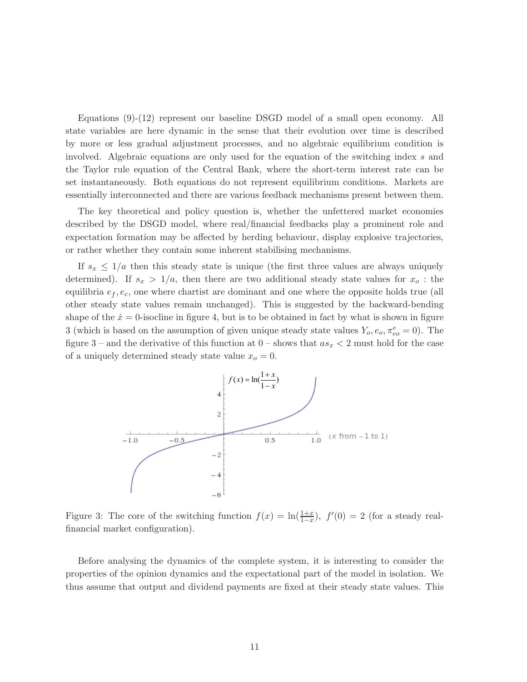Equations (9)-(12) represent our baseline DSGD model of a small open economy. All state variables are here dynamic in the sense that their evolution over time is described by more or less gradual adjustment processes, and no algebraic equilibrium condition is involved. Algebraic equations are only used for the equation of the switching index s and the Taylor rule equation of the Central Bank, where the short-term interest rate can be set instantaneously. Both equations do not represent equilibrium conditions. Markets are essentially interconnected and there are various feedback mechanisms present between them.

The key theoretical and policy question is, whether the unfettered market economies described by the DSGD model, where real/financial feedbacks play a prominent role and expectation formation may be affected by herding behaviour, display explosive trajectories, or rather whether they contain some inherent stabilising mechanisms.

If  $s_x \leq 1/a$  then this steady state is unique (the first three values are always uniquely determined). If  $s_x > 1/a$ , then there are two additional steady state values for  $x_o$ : the equilibria  $e_f, e_c$ , one where chartist are dominant and one where the opposite holds true (all other steady state values remain unchanged). This is suggested by the backward-bending shape of the  $\dot{x} = 0$ -isocline in figure 4, but is to be obtained in fact by what is shown in figure 3 (which is based on the assumption of given unique steady state values  $Y_o, e_o, \pi_{eo}^e = 0$ ). The figure 3 – and the derivative of this function at  $0$  – shows that  $as_x < 2$  must hold for the case of a uniquely determined steady state value  $x<sub>o</sub> = 0$ .



Figure 3: The core of the switching function  $f(x) = \ln(\frac{1+x}{1-x})$ ,  $f'(0) = 2$  (for a steady realfinancial market configuration).

Before analysing the dynamics of the complete system, it is interesting to consider the properties of the opinion dynamics and the expectational part of the model in isolation. We thus assume that output and dividend payments are fixed at their steady state values. This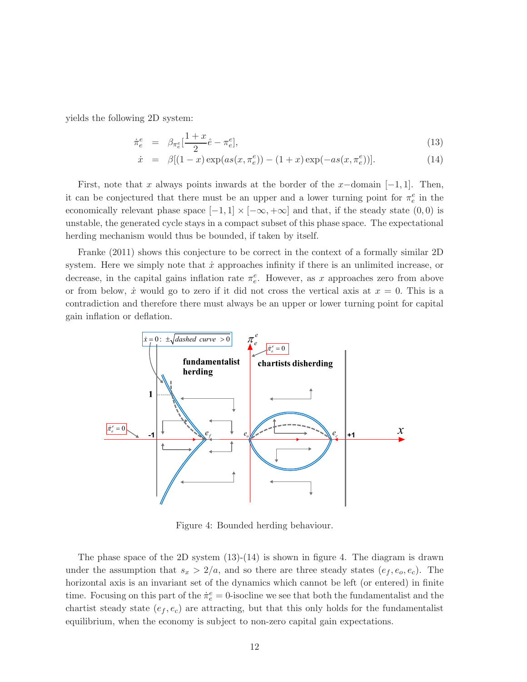yields the following 2D system:

$$
\dot{\pi}_e^e = \beta_{\pi_e^e} \left[ \frac{1+x}{2} \hat{e} - \pi_e^e \right],\tag{13}
$$

$$
\dot{x} = \beta[(1-x)\exp(as(x,\pi_e^e)) - (1+x)\exp(-as(x,\pi_e^e))].
$$
\n(14)

First, note that x always points inwards at the border of the x-domain  $[-1, 1]$ . Then, it can be conjectured that there must be an upper and a lower turning point for  $\pi_e^e$  in the economically relevant phase space  $[-1, 1] \times [-\infty, +\infty]$  and that, if the steady state  $(0, 0)$  is unstable, the generated cycle stays in a compact subset of this phase space. The expectational herding mechanism would thus be bounded, if taken by itself.

Franke (2011) shows this conjecture to be correct in the context of a formally similar 2D system. Here we simply note that  $\dot{x}$  approaches infinity if there is an unlimited increase, or decrease, in the capital gains inflation rate  $\pi_e^e$ . However, as x approaches zero from above or from below,  $\dot{x}$  would go to zero if it did not cross the vertical axis at  $x = 0$ . This is a contradiction and therefore there must always be an upper or lower turning point for capital gain inflation or deflation.



Figure 4: Bounded herding behaviour.

The phase space of the 2D system  $(13)-(14)$  is shown in figure 4. The diagram is drawn under the assumption that  $s_x > 2/a$ , and so there are three steady states  $(e_f, e_o, e_c)$ . The horizontal axis is an invariant set of the dynamics which cannot be left (or entered) in finite time. Focusing on this part of the  $\dot{\pi}_e^e = 0$ -isocline we see that both the fundamentalist and the chartist steady state  $(e_f, e_c)$  are attracting, but that this only holds for the fundamentalist equilibrium, when the economy is subject to non-zero capital gain expectations.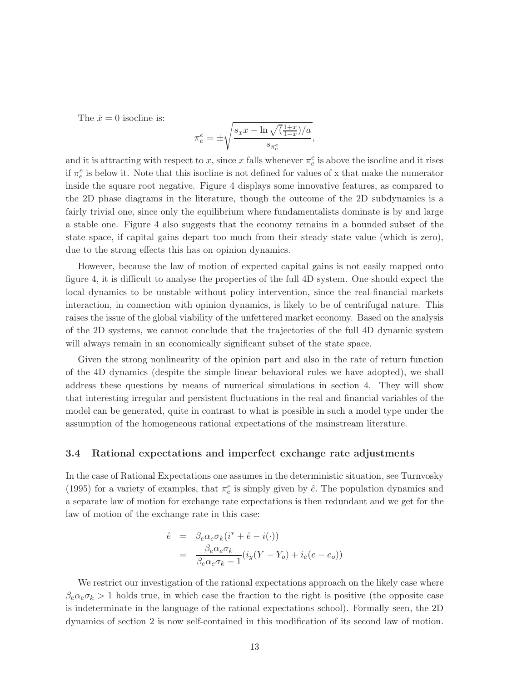The  $\dot{x} = 0$  isocline is:

$$
\pi_e^e = \pm \sqrt{\frac{s_x x - \ln \sqrt{(\frac{1+x}{1-x})/a}}{s_{\pi_e^e}}},
$$

and it is attracting with respect to x, since x falls whenever  $\pi_e^e$  is above the isocline and it rises if  $\pi_e^e$  is below it. Note that this isocline is not defined for values of x that make the numerator inside the square root negative. Figure 4 displays some innovative features, as compared to the 2D phase diagrams in the literature, though the outcome of the 2D subdynamics is a fairly trivial one, since only the equilibrium where fundamentalists dominate is by and large a stable one. Figure 4 also suggests that the economy remains in a bounded subset of the state space, if capital gains depart too much from their steady state value (which is zero), due to the strong effects this has on opinion dynamics.

However, because the law of motion of expected capital gains is not easily mapped onto figure 4, it is difficult to analyse the properties of the full 4D system. One should expect the local dynamics to be unstable without policy intervention, since the real-financial markets interaction, in connection with opinion dynamics, is likely to be of centrifugal nature. This raises the issue of the global viability of the unfettered market economy. Based on the analysis of the 2D systems, we cannot conclude that the trajectories of the full 4D dynamic system will always remain in an economically significant subset of the state space.

Given the strong nonlinearity of the opinion part and also in the rate of return function of the 4D dynamics (despite the simple linear behavioral rules we have adopted), we shall address these questions by means of numerical simulations in section 4. They will show that interesting irregular and persistent fluctuations in the real and financial variables of the model can be generated, quite in contrast to what is possible in such a model type under the assumption of the homogeneous rational expectations of the mainstream literature.

### 3.4 Rational expectations and imperfect exchange rate adjustments

In the case of Rational Expectations one assumes in the deterministic situation, see Turnvosky (1995) for a variety of examples, that  $\pi_e^e$  is simply given by  $\hat{e}$ . The population dynamics and a separate law of motion for exchange rate expectations is then redundant and we get for the law of motion of the exchange rate in this case:

$$
\begin{array}{rcl}\n\hat{e} & = & \beta_e \alpha_e \sigma_k (i^* + \hat{e} - i(\cdot)) \\
& = & \frac{\beta_e \alpha_e \sigma_k}{\beta_e \alpha_e \sigma_k - 1} (i_y (Y - Y_o) + i_e (e - e_o))\n\end{array}
$$

We restrict our investigation of the rational expectations approach on the likely case where  $\beta_e \alpha_e \sigma_k > 1$  holds true, in which case the fraction to the right is positive (the opposite case is indeterminate in the language of the rational expectations school). Formally seen, the 2D dynamics of section 2 is now self-contained in this modification of its second law of motion.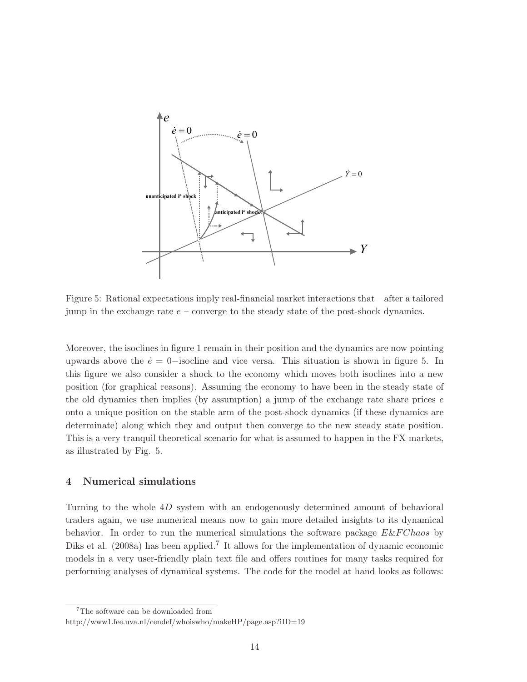

Figure 5: Rational expectations imply real-financial market interactions that – after a tailored jump in the exchange rate  $e$  – converge to the steady state of the post-shock dynamics.

Moreover, the isoclines in figure 1 remain in their position and the dynamics are now pointing upwards above the  $\dot{e} = 0$ -isocline and vice versa. This situation is shown in figure 5. In this figure we also consider a shock to the economy which moves both isoclines into a new position (for graphical reasons). Assuming the economy to have been in the steady state of the old dynamics then implies (by assumption) a jump of the exchange rate share prices  $e$ onto a unique position on the stable arm of the post-shock dynamics (if these dynamics are determinate) along which they and output then converge to the new steady state position. This is a very tranquil theoretical scenario for what is assumed to happen in the FX markets, as illustrated by Fig. 5.

## 4 Numerical simulations

Turning to the whole 4D system with an endogenously determined amount of behavioral traders again, we use numerical means now to gain more detailed insights to its dynamical behavior. In order to run the numerical simulations the software package  $E\&FC$ haos by Diks et al.  $(2008a)$  has been applied.<sup>7</sup> It allows for the implementation of dynamic economic models in a very user-friendly plain text file and offers routines for many tasks required for performing analyses of dynamical systems. The code for the model at hand looks as follows:

<sup>7</sup>The software can be downloaded from

http://www1.fee.uva.nl/cendef/whoiswho/makeHP/page.asp?iID=19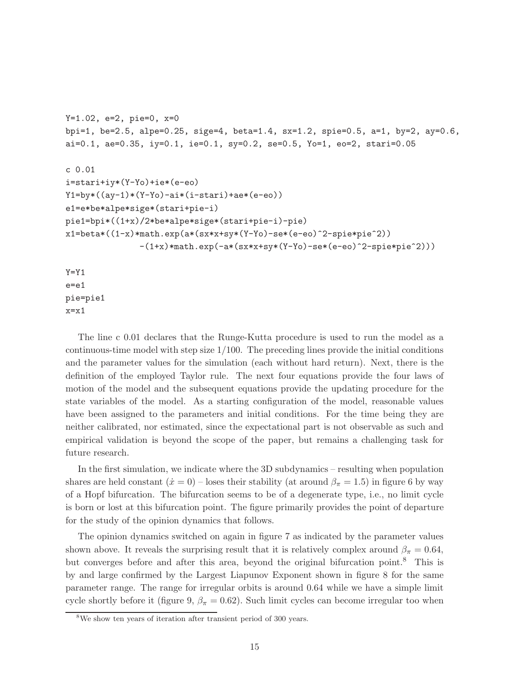```
Y=1.02, e=2, pie=0, x=0
bpi=1, be=2.5, alpe=0.25, sige=4, beta=1.4, sx=1.2, spie=0.5, a=1, by=2, ay=0.6,
ai=0.1, ae=0.35, iy=0.1, ie=0.1, sy=0.2, se=0.5, Yo=1, eo=2, stari=0.05c 0.01
i=stari+iy*(Y-Yo)+ie*(e-eo)
Y1 = by *((ay-1)*(Y-Yo) - ai * (i - stari) + ae * (e-eo))e1=e*be*alpe*sige*(stari+pie-i)
pie1=bpi*((1+x)/2*be*alpe*sige*(stari+pie-i)-pie)
x1=beta*((1-x)*math.exp(a*(sx*x+sy*(Y-Yo)-se*(e-eo)^2-spie*pie^2))
               -(1+x)*mathsf{exp}(-a*(sx*x+sy*(Y-Yo)-se*(e-eo)^2-spie*pie^2))Y = Y1e = e1pie=pie1
```
 $x=x1$ 

The line c 0.01 declares that the Runge-Kutta procedure is used to run the model as a continuous-time model with step size 1/100. The preceding lines provide the initial conditions and the parameter values for the simulation (each without hard return). Next, there is the definition of the employed Taylor rule. The next four equations provide the four laws of motion of the model and the subsequent equations provide the updating procedure for the state variables of the model. As a starting configuration of the model, reasonable values have been assigned to the parameters and initial conditions. For the time being they are neither calibrated, nor estimated, since the expectational part is not observable as such and empirical validation is beyond the scope of the paper, but remains a challenging task for future research.

In the first simulation, we indicate where the 3D subdynamics – resulting when population shares are held constant  $(\dot{x} = 0)$  – loses their stability (at around  $\beta_{\pi} = 1.5$ ) in figure 6 by way of a Hopf bifurcation. The bifurcation seems to be of a degenerate type, i.e., no limit cycle is born or lost at this bifurcation point. The figure primarily provides the point of departure for the study of the opinion dynamics that follows.

The opinion dynamics switched on again in figure 7 as indicated by the parameter values shown above. It reveals the surprising result that it is relatively complex around  $\beta_{\pi} = 0.64$ , but converges before and after this area, beyond the original bifurcation point.<sup>8</sup> This is by and large confirmed by the Largest Liapunov Exponent shown in figure 8 for the same parameter range. The range for irregular orbits is around 0.64 while we have a simple limit cycle shortly before it (figure 9,  $\beta_{\pi} = 0.62$ ). Such limit cycles can become irregular too when

 $8\text{We show ten years}$  of iteration after transient period of 300 years.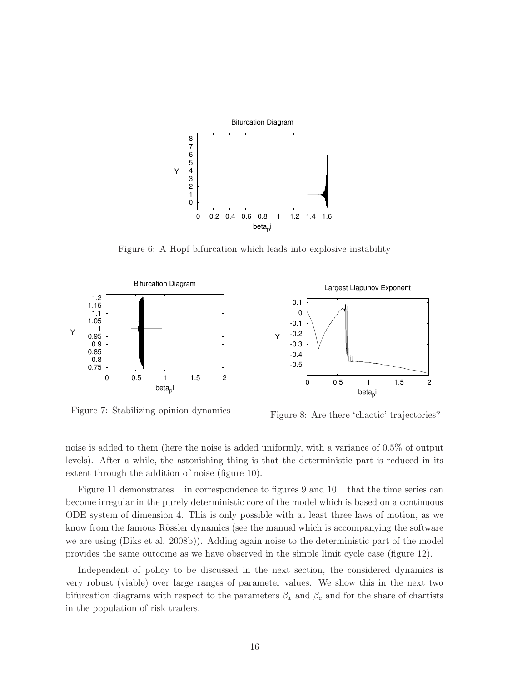

Figure 6: A Hopf bifurcation which leads into explosive instability



Figure 7: Stabilizing opinion dynamics

Figure 8: Are there 'chaotic' trajectories?

noise is added to them (here the noise is added uniformly, with a variance of 0.5% of output levels). After a while, the astonishing thing is that the deterministic part is reduced in its extent through the addition of noise (figure 10).

Figure 11 demonstrates – in correspondence to figures 9 and  $10$  – that the time series can become irregular in the purely deterministic core of the model which is based on a continuous ODE system of dimension 4. This is only possible with at least three laws of motion, as we know from the famous Rössler dynamics (see the manual which is accompanying the software we are using (Diks et al. 2008b)). Adding again noise to the deterministic part of the model provides the same outcome as we have observed in the simple limit cycle case (figure 12).

Independent of policy to be discussed in the next section, the considered dynamics is very robust (viable) over large ranges of parameter values. We show this in the next two bifurcation diagrams with respect to the parameters  $\beta_x$  and  $\beta_e$  and for the share of chartists in the population of risk traders.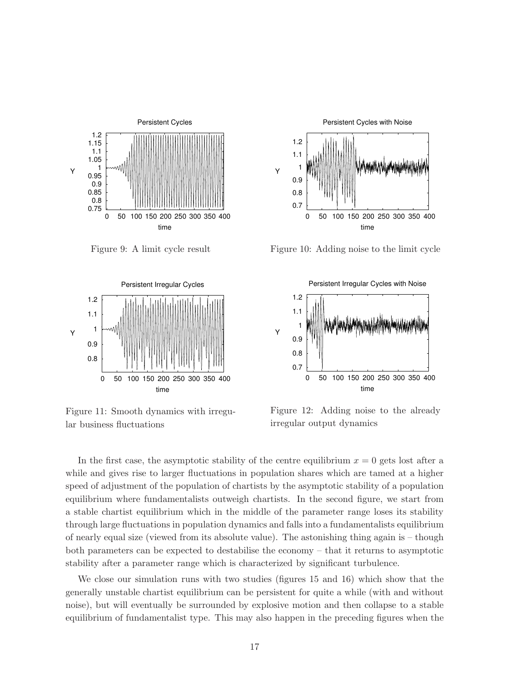

Figure 9: A limit cycle result



Figure 11: Smooth dynamics with irregular business fluctuations



Figure 10: Adding noise to the limit cycle



Figure 12: Adding noise to the already irregular output dynamics

In the first case, the asymptotic stability of the centre equilibrium  $x = 0$  gets lost after a while and gives rise to larger fluctuations in population shares which are tamed at a higher speed of adjustment of the population of chartists by the asymptotic stability of a population equilibrium where fundamentalists outweigh chartists. In the second figure, we start from a stable chartist equilibrium which in the middle of the parameter range loses its stability through large fluctuations in population dynamics and falls into a fundamentalists equilibrium of nearly equal size (viewed from its absolute value). The astonishing thing again is – though both parameters can be expected to destabilise the economy – that it returns to asymptotic stability after a parameter range which is characterized by significant turbulence.

We close our simulation runs with two studies (figures 15 and 16) which show that the generally unstable chartist equilibrium can be persistent for quite a while (with and without noise), but will eventually be surrounded by explosive motion and then collapse to a stable equilibrium of fundamentalist type. This may also happen in the preceding figures when the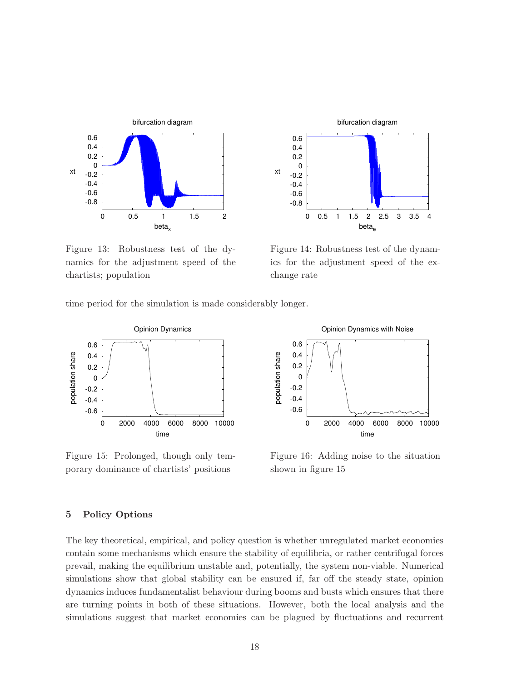

Figure 13: Robustness test of the dynamics for the adjustment speed of the chartists; population



Figure 14: Robustness test of the dynamics for the adjustment speed of the exchange rate

time period for the simulation is made considerably longer.



Figure 15: Prolonged, though only temporary dominance of chartists' positions



Figure 16: Adding noise to the situation shown in figure 15

## 5 Policy Options

The key theoretical, empirical, and policy question is whether unregulated market economies contain some mechanisms which ensure the stability of equilibria, or rather centrifugal forces prevail, making the equilibrium unstable and, potentially, the system non-viable. Numerical simulations show that global stability can be ensured if, far off the steady state, opinion dynamics induces fundamentalist behaviour during booms and busts which ensures that there are turning points in both of these situations. However, both the local analysis and the simulations suggest that market economies can be plagued by fluctuations and recurrent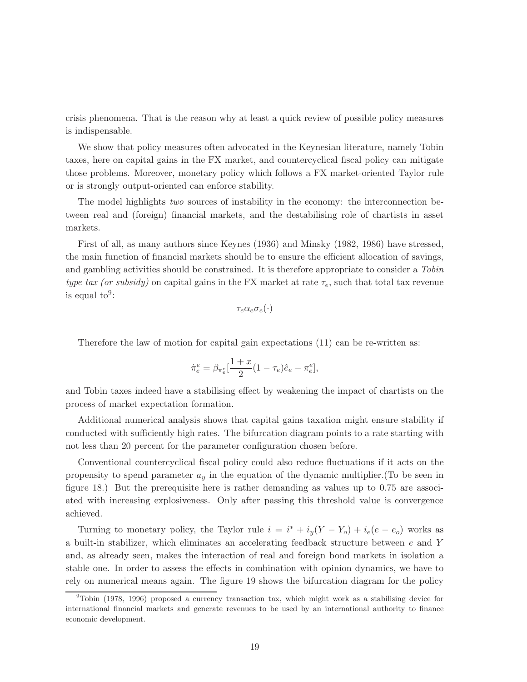crisis phenomena. That is the reason why at least a quick review of possible policy measures is indispensable.

We show that policy measures often advocated in the Keynesian literature, namely Tobin taxes, here on capital gains in the FX market, and countercyclical fiscal policy can mitigate those problems. Moreover, monetary policy which follows a FX market-oriented Taylor rule or is strongly output-oriented can enforce stability.

The model highlights two sources of instability in the economy: the interconnection between real and (foreign) financial markets, and the destabilising role of chartists in asset markets.

First of all, as many authors since Keynes (1936) and Minsky (1982, 1986) have stressed, the main function of financial markets should be to ensure the efficient allocation of savings, and gambling activities should be constrained. It is therefore appropriate to consider a Tobin type tax (or subsidy) on capital gains in the FX market at rate  $\tau_e$ , such that total tax revenue is equal  $to^9$ :

$$
\tau_e\alpha_e\sigma_e(\cdot)
$$

Therefore the law of motion for capital gain expectations (11) can be re-written as:

$$
\dot{\pi}_e^e = \beta_{\pi_e^e} \left[ \frac{1+x}{2} (1 - \tau_e) \hat{e}_e - \pi_e^e \right],
$$

and Tobin taxes indeed have a stabilising effect by weakening the impact of chartists on the process of market expectation formation.

Additional numerical analysis shows that capital gains taxation might ensure stability if conducted with sufficiently high rates. The bifurcation diagram points to a rate starting with not less than 20 percent for the parameter configuration chosen before.

Conventional countercyclical fiscal policy could also reduce fluctuations if it acts on the propensity to spend parameter  $a_y$  in the equation of the dynamic multiplier. (To be seen in figure 18.) But the prerequisite here is rather demanding as values up to 0.75 are associated with increasing explosiveness. Only after passing this threshold value is convergence achieved.

Turning to monetary policy, the Taylor rule  $i = i^* + i_y(Y - Y_o) + i_e(e - e_o)$  works as a built-in stabilizer, which eliminates an accelerating feedback structure between  $e$  and Y and, as already seen, makes the interaction of real and foreign bond markets in isolation a stable one. In order to assess the effects in combination with opinion dynamics, we have to rely on numerical means again. The figure 19 shows the bifurcation diagram for the policy

<sup>&</sup>lt;sup>9</sup>Tobin (1978, 1996) proposed a currency transaction tax, which might work as a stabilising device for international financial markets and generate revenues to be used by an international authority to finance economic development.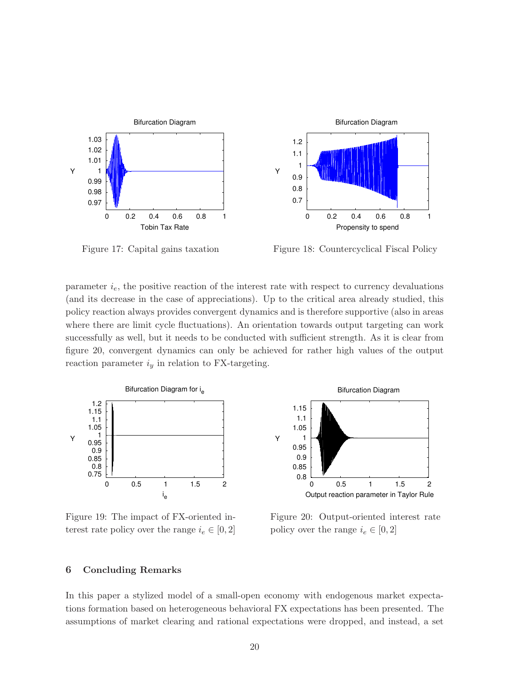

Figure 17: Capital gains taxation

Figure 18: Countercyclical Fiscal Policy

parameter  $i_e$ , the positive reaction of the interest rate with respect to currency devaluations (and its decrease in the case of appreciations). Up to the critical area already studied, this policy reaction always provides convergent dynamics and is therefore supportive (also in areas where there are limit cycle fluctuations). An orientation towards output targeting can work successfully as well, but it needs to be conducted with sufficient strength. As it is clear from figure 20, convergent dynamics can only be achieved for rather high values of the output reaction parameter  $i_y$  in relation to FX-targeting.



Figure 19: The impact of FX-oriented interest rate policy over the range  $i_e \in [0, 2]$ 



Figure 20: Output-oriented interest rate policy over the range  $i_e \in [0, 2]$ 

## 6 Concluding Remarks

In this paper a stylized model of a small-open economy with endogenous market expectations formation based on heterogeneous behavioral FX expectations has been presented. The assumptions of market clearing and rational expectations were dropped, and instead, a set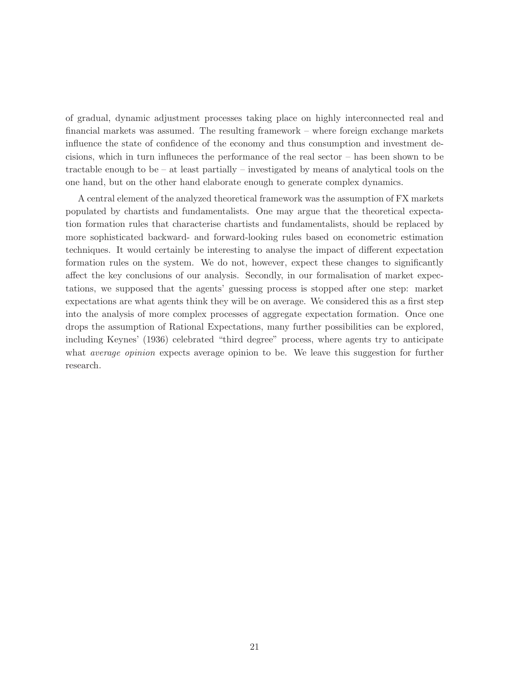of gradual, dynamic adjustment processes taking place on highly interconnected real and financial markets was assumed. The resulting framework – where foreign exchange markets influence the state of confidence of the economy and thus consumption and investment decisions, which in turn influneces the performance of the real sector – has been shown to be tractable enough to be – at least partially – investigated by means of analytical tools on the one hand, but on the other hand elaborate enough to generate complex dynamics.

A central element of the analyzed theoretical framework was the assumption of FX markets populated by chartists and fundamentalists. One may argue that the theoretical expectation formation rules that characterise chartists and fundamentalists, should be replaced by more sophisticated backward- and forward-looking rules based on econometric estimation techniques. It would certainly be interesting to analyse the impact of different expectation formation rules on the system. We do not, however, expect these changes to significantly affect the key conclusions of our analysis. Secondly, in our formalisation of market expectations, we supposed that the agents' guessing process is stopped after one step: market expectations are what agents think they will be on average. We considered this as a first step into the analysis of more complex processes of aggregate expectation formation. Once one drops the assumption of Rational Expectations, many further possibilities can be explored, including Keynes' (1936) celebrated "third degree" process, where agents try to anticipate what *average opinion* expects average opinion to be. We leave this suggestion for further research.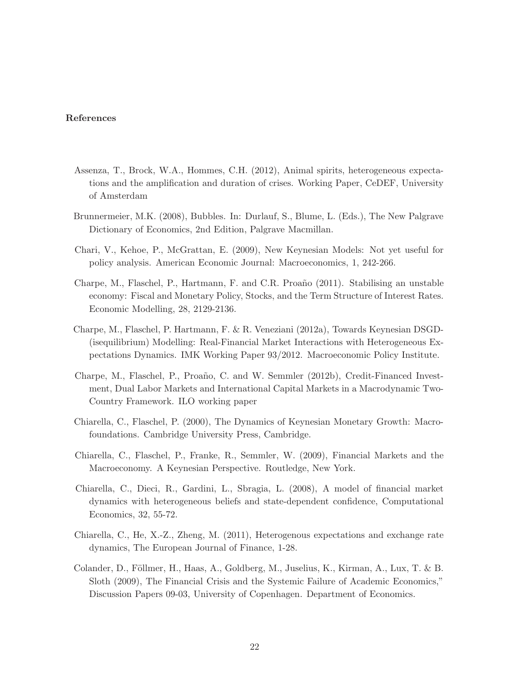## References

- Assenza, T., Brock, W.A., Hommes, C.H. (2012), Animal spirits, heterogeneous expectations and the amplification and duration of crises. Working Paper, CeDEF, University of Amsterdam
- Brunnermeier, M.K. (2008), Bubbles. In: Durlauf, S., Blume, L. (Eds.), The New Palgrave Dictionary of Economics, 2nd Edition, Palgrave Macmillan.
- Chari, V., Kehoe, P., McGrattan, E. (2009), New Keynesian Models: Not yet useful for policy analysis. American Economic Journal: Macroeconomics, 1, 242-266.
- Charpe, M., Flaschel, P., Hartmann, F. and C.R. Proaño (2011). Stabilising an unstable economy: Fiscal and Monetary Policy, Stocks, and the Term Structure of Interest Rates. Economic Modelling, 28, 2129-2136.
- Charpe, M., Flaschel, P. Hartmann, F. & R. Veneziani (2012a), Towards Keynesian DSGD- (isequilibrium) Modelling: Real-Financial Market Interactions with Heterogeneous Expectations Dynamics. IMK Working Paper 93/2012. Macroeconomic Policy Institute.
- Charpe, M., Flaschel, P., Proaño, C. and W. Semmler (2012b), Credit-Financed Investment, Dual Labor Markets and International Capital Markets in a Macrodynamic Two-Country Framework. ILO working paper
- Chiarella, C., Flaschel, P. (2000), The Dynamics of Keynesian Monetary Growth: Macrofoundations. Cambridge University Press, Cambridge.
- Chiarella, C., Flaschel, P., Franke, R., Semmler, W. (2009), Financial Markets and the Macroeconomy. A Keynesian Perspective. Routledge, New York.
- Chiarella, C., Dieci, R., Gardini, L., Sbragia, L. (2008), A model of financial market dynamics with heterogeneous beliefs and state-dependent confidence, Computational Economics, 32, 55-72.
- Chiarella, C., He, X.-Z., Zheng, M. (2011), Heterogenous expectations and exchange rate dynamics, The European Journal of Finance, 1-28.
- Colander, D., Föllmer, H., Haas, A., Goldberg, M., Juselius, K., Kirman, A., Lux, T. & B. Sloth (2009), The Financial Crisis and the Systemic Failure of Academic Economics," Discussion Papers 09-03, University of Copenhagen. Department of Economics.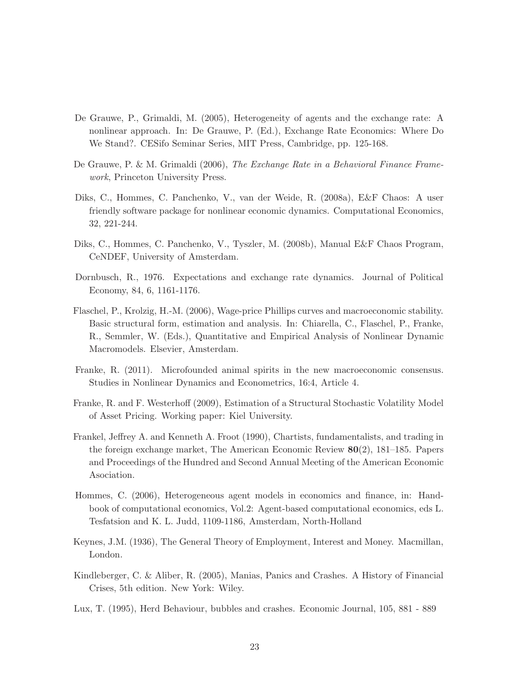- De Grauwe, P., Grimaldi, M. (2005), Heterogeneity of agents and the exchange rate: A nonlinear approach. In: De Grauwe, P. (Ed.), Exchange Rate Economics: Where Do We Stand?. CESifo Seminar Series, MIT Press, Cambridge, pp. 125-168.
- De Grauwe, P. & M. Grimaldi (2006), The Exchange Rate in a Behavioral Finance Framework, Princeton University Press.
- Diks, C., Hommes, C. Panchenko, V., van der Weide, R. (2008a), E&F Chaos: A user friendly software package for nonlinear economic dynamics. Computational Economics, 32, 221-244.
- Diks, C., Hommes, C. Panchenko, V., Tyszler, M. (2008b), Manual E&F Chaos Program, CeNDEF, University of Amsterdam.
- Dornbusch, R., 1976. Expectations and exchange rate dynamics. Journal of Political Economy, 84, 6, 1161-1176.
- Flaschel, P., Krolzig, H.-M. (2006), Wage-price Phillips curves and macroeconomic stability. Basic structural form, estimation and analysis. In: Chiarella, C., Flaschel, P., Franke, R., Semmler, W. (Eds.), Quantitative and Empirical Analysis of Nonlinear Dynamic Macromodels. Elsevier, Amsterdam.
- Franke, R. (2011). Microfounded animal spirits in the new macroeconomic consensus. Studies in Nonlinear Dynamics and Econometrics, 16:4, Article 4.
- Franke, R. and F. Westerhoff (2009), Estimation of a Structural Stochastic Volatility Model of Asset Pricing. Working paper: Kiel University.
- Frankel, Jeffrey A. and Kenneth A. Froot (1990), Chartists, fundamentalists, and trading in the foreign exchange market, The American Economic Review 80(2), 181–185. Papers and Proceedings of the Hundred and Second Annual Meeting of the American Economic Asociation.
- Hommes, C. (2006), Heterogeneous agent models in economics and finance, in: Handbook of computational economics, Vol.2: Agent-based computational economics, eds L. Tesfatsion and K. L. Judd, 1109-1186, Amsterdam, North-Holland
- Keynes, J.M. (1936), The General Theory of Employment, Interest and Money. Macmillan, London.
- Kindleberger, C. & Aliber, R. (2005), Manias, Panics and Crashes. A History of Financial Crises, 5th edition. New York: Wiley.
- Lux, T. (1995), Herd Behaviour, bubbles and crashes. Economic Journal, 105, 881 889